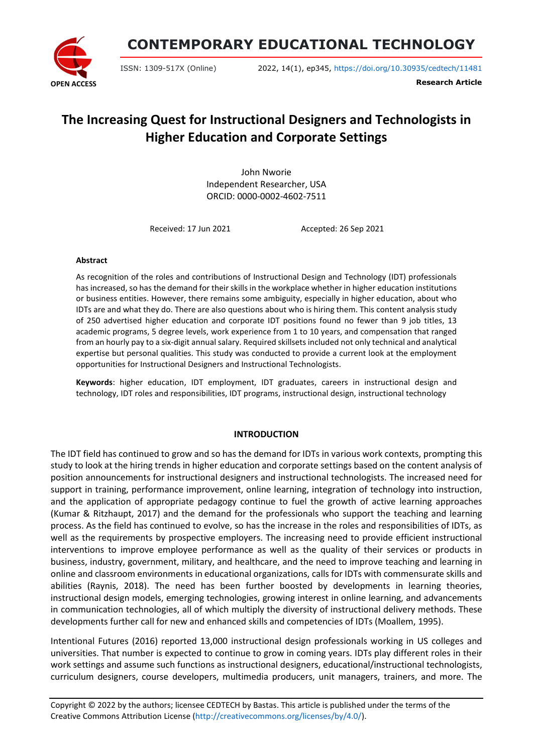

**CONTEMPORARY EDUCATIONAL TECHNOLOGY**

ISSN: 1309-517X (Online) 2022, 14(1), ep345, <https://doi.org/10.30935/cedtech/11481>

**Research Article**

# **The Increasing Quest for Instructional Designers and Technologists in Higher Education and Corporate Settings**

John Nworie Independent Researcher, USA ORCID: 0000-0002-4602-7511

Received: 17 Jun 2021 Accepted: 26 Sep 2021

#### **Abstract**

As recognition of the roles and contributions of Instructional Design and Technology (IDT) professionals has increased, so has the demand for their skills in the workplace whether in higher education institutions or business entities. However, there remains some ambiguity, especially in higher education, about who IDTs are and what they do. There are also questions about who is hiring them. This content analysis study of 250 advertised higher education and corporate IDT positions found no fewer than 9 job titles, 13 academic programs, 5 degree levels, work experience from 1 to 10 years, and compensation that ranged from an hourly pay to a six-digit annual salary. Required skillsets included not only technical and analytical expertise but personal qualities. This study was conducted to provide a current look at the employment opportunities for Instructional Designers and Instructional Technologists.

**Keywords**: higher education, IDT employment, IDT graduates, careers in instructional design and technology, IDT roles and responsibilities, IDT programs, instructional design, instructional technology

## **INTRODUCTION**

The IDT field has continued to grow and so has the demand for IDTs in various work contexts, prompting this study to look at the hiring trends in higher education and corporate settings based on the content analysis of position announcements for instructional designers and instructional technologists. The increased need for support in training, performance improvement, online learning, integration of technology into instruction, and the application of appropriate pedagogy continue to fuel the growth of active learning approaches (Kumar & Ritzhaupt, 2017) and the demand for the professionals who support the teaching and learning process. As the field has continued to evolve, so has the increase in the roles and responsibilities of IDTs, as well as the requirements by prospective employers. The increasing need to provide efficient instructional interventions to improve employee performance as well as the quality of their services or products in business, industry, government, military, and healthcare, and the need to improve teaching and learning in online and classroom environments in educational organizations, calls for IDTs with commensurate skills and abilities (Raynis, 2018). The need has been further boosted by developments in learning theories, instructional design models, emerging technologies, growing interest in online learning, and advancements in communication technologies, all of which multiply the diversity of instructional delivery methods. These developments further call for new and enhanced skills and competencies of IDTs (Moallem, 1995).

Intentional Futures (2016) reported 13,000 instructional design professionals working in US colleges and universities. That number is expected to continue to grow in coming years. IDTs play different roles in their work settings and assume such functions as instructional designers, educational/instructional technologists, curriculum designers, course developers, multimedia producers, unit managers, trainers, and more. The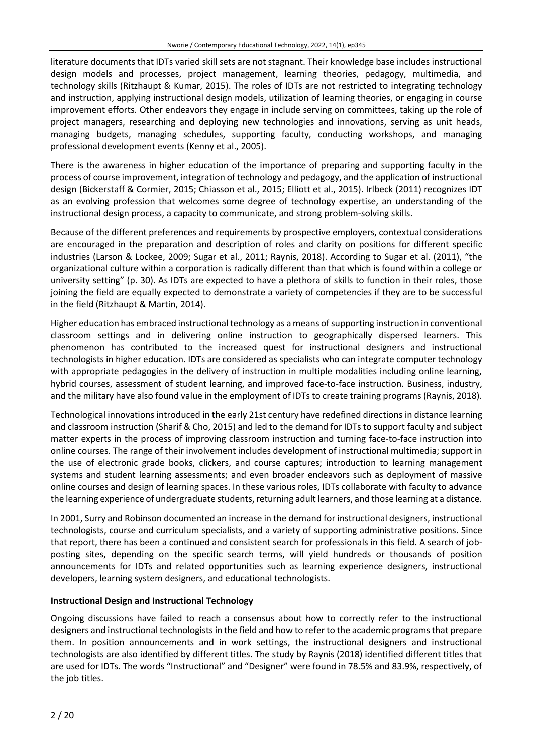literature documents that IDTs varied skill sets are not stagnant. Their knowledge base includes instructional design models and processes, project management, learning theories, pedagogy, multimedia, and technology skills (Ritzhaupt & Kumar, 2015). The roles of IDTs are not restricted to integrating technology and instruction, applying instructional design models, utilization of learning theories, or engaging in course improvement efforts. Other endeavors they engage in include serving on committees, taking up the role of project managers, researching and deploying new technologies and innovations, serving as unit heads, managing budgets, managing schedules, supporting faculty, conducting workshops, and managing professional development events (Kenny et al., 2005).

There is the awareness in higher education of the importance of preparing and supporting faculty in the process of course improvement, integration of technology and pedagogy, and the application of instructional design (Bickerstaff & Cormier, 2015; Chiasson et al., 2015; Elliott et al., 2015). Irlbeck (2011) recognizes IDT as an evolving profession that welcomes some degree of technology expertise, an understanding of the instructional design process, a capacity to communicate, and strong problem-solving skills.

Because of the different preferences and requirements by prospective employers, contextual considerations are encouraged in the preparation and description of roles and clarity on positions for different specific industries (Larson & Lockee, 2009; Sugar et al., 2011; Raynis, 2018). According to Sugar et al. (2011), "the organizational culture within a corporation is radically different than that which is found within a college or university setting" (p. 30). As IDTs are expected to have a plethora of skills to function in their roles, those joining the field are equally expected to demonstrate a variety of competencies if they are to be successful in the field (Ritzhaupt & Martin, 2014).

Higher education has embraced instructional technology as a means of supporting instruction in conventional classroom settings and in delivering online instruction to geographically dispersed learners. This phenomenon has contributed to the increased quest for instructional designers and instructional technologists in higher education. IDTs are considered as specialists who can integrate computer technology with appropriate pedagogies in the delivery of instruction in multiple modalities including online learning, hybrid courses, assessment of student learning, and improved face-to-face instruction. Business, industry, and the military have also found value in the employment of IDTs to create training programs (Raynis, 2018).

Technological innovations introduced in the early 21st century have redefined directions in distance learning and classroom instruction (Sharif & Cho, 2015) and led to the demand for IDTs to support faculty and subject matter experts in the process of improving classroom instruction and turning face-to-face instruction into online courses. The range of their involvement includes development of instructional multimedia; support in the use of electronic grade books, clickers, and course captures; introduction to learning management systems and student learning assessments; and even broader endeavors such as deployment of massive online courses and design of learning spaces. In these various roles, IDTs collaborate with faculty to advance the learning experience of undergraduate students, returning adult learners, and those learning at a distance.

In 2001, Surry and Robinson documented an increase in the demand for instructional designers, instructional technologists, course and curriculum specialists, and a variety of supporting administrative positions. Since that report, there has been a continued and consistent search for professionals in this field. A search of jobposting sites, depending on the specific search terms, will yield hundreds or thousands of position announcements for IDTs and related opportunities such as learning experience designers, instructional developers, learning system designers, and educational technologists.

## **Instructional Design and Instructional Technology**

Ongoing discussions have failed to reach a consensus about how to correctly refer to the instructional designers and instructional technologists in the field and how to refer to the academic programs that prepare them. In position announcements and in work settings, the instructional designers and instructional technologists are also identified by different titles. The study by Raynis (2018) identified different titles that are used for IDTs. The words "Instructional" and "Designer" were found in 78.5% and 83.9%, respectively, of the job titles.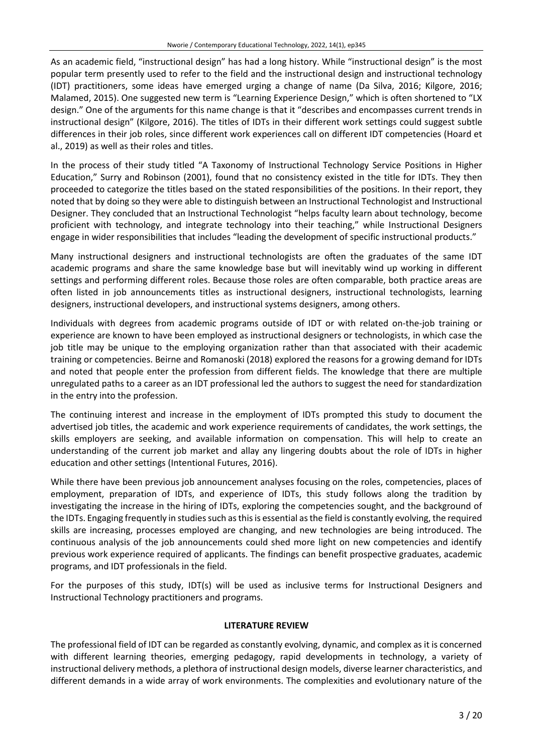As an academic field, "instructional design" has had a long history. While "instructional design" is the most popular term presently used to refer to the field and the instructional design and instructional technology (IDT) practitioners, some ideas have emerged urging a change of name (Da Silva, 2016; Kilgore, 2016; Malamed, 2015). One suggested new term is "Learning Experience Design," which is often shortened to "LX design." One of the arguments for this name change is that it "describes and encompasses current trends in instructional design" (Kilgore, 2016). The titles of IDTs in their different work settings could suggest subtle differences in their job roles, since different work experiences call on different IDT competencies (Hoard et al., 2019) as well as their roles and titles.

In the process of their study titled "A Taxonomy of Instructional Technology Service Positions in Higher Education," Surry and Robinson (2001), found that no consistency existed in the title for IDTs. They then proceeded to categorize the titles based on the stated responsibilities of the positions. In their report, they noted that by doing so they were able to distinguish between an Instructional Technologist and Instructional Designer. They concluded that an Instructional Technologist "helps faculty learn about technology, become proficient with technology, and integrate technology into their teaching," while Instructional Designers engage in wider responsibilities that includes "leading the development of specific instructional products."

Many instructional designers and instructional technologists are often the graduates of the same IDT academic programs and share the same knowledge base but will inevitably wind up working in different settings and performing different roles. Because those roles are often comparable, both practice areas are often listed in job announcements titles as instructional designers, instructional technologists, learning designers, instructional developers, and instructional systems designers, among others.

Individuals with degrees from academic programs outside of IDT or with related on-the-job training or experience are known to have been employed as instructional designers or technologists, in which case the job title may be unique to the employing organization rather than that associated with their academic training or competencies. Beirne and Romanoski (2018) explored the reasons for a growing demand for IDTs and noted that people enter the profession from different fields. The knowledge that there are multiple unregulated paths to a career as an IDT professional led the authors to suggest the need for standardization in the entry into the profession.

The continuing interest and increase in the employment of IDTs prompted this study to document the advertised job titles, the academic and work experience requirements of candidates, the work settings, the skills employers are seeking, and available information on compensation. This will help to create an understanding of the current job market and allay any lingering doubts about the role of IDTs in higher education and other settings (Intentional Futures, 2016).

While there have been previous job announcement analyses focusing on the roles, competencies, places of employment, preparation of IDTs, and experience of IDTs, this study follows along the tradition by investigating the increase in the hiring of IDTs, exploring the competencies sought, and the background of the IDTs. Engaging frequently in studies such as this is essential as the field is constantly evolving, the required skills are increasing, processes employed are changing, and new technologies are being introduced. The continuous analysis of the job announcements could shed more light on new competencies and identify previous work experience required of applicants. The findings can benefit prospective graduates, academic programs, and IDT professionals in the field.

For the purposes of this study, IDT(s) will be used as inclusive terms for Instructional Designers and Instructional Technology practitioners and programs.

## **LITERATURE REVIEW**

The professional field of IDT can be regarded as constantly evolving, dynamic, and complex as it is concerned with different learning theories, emerging pedagogy, rapid developments in technology, a variety of instructional delivery methods, a plethora of instructional design models, diverse learner characteristics, and different demands in a wide array of work environments. The complexities and evolutionary nature of the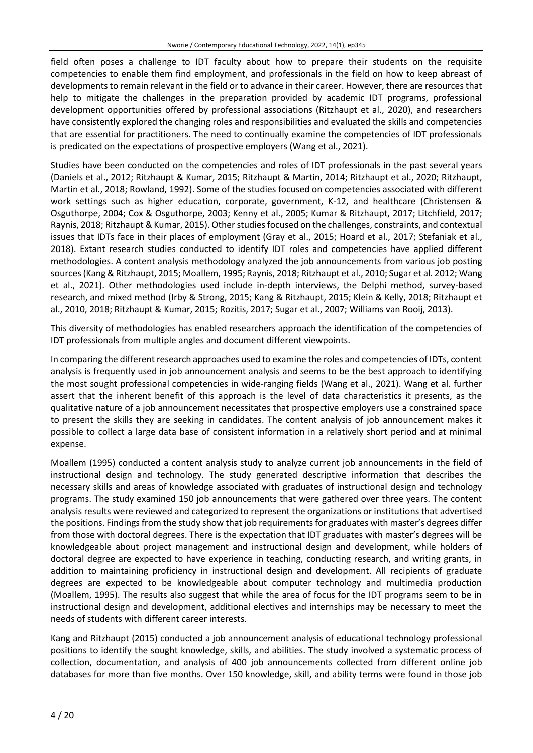field often poses a challenge to IDT faculty about how to prepare their students on the requisite competencies to enable them find employment, and professionals in the field on how to keep abreast of developments to remain relevant in the field or to advance in their career. However, there are resources that help to mitigate the challenges in the preparation provided by academic IDT programs, professional development opportunities offered by professional associations (Ritzhaupt et al., 2020), and researchers have consistently explored the changing roles and responsibilities and evaluated the skills and competencies that are essential for practitioners. The need to continually examine the competencies of IDT professionals is predicated on the expectations of prospective employers (Wang et al., 2021).

Studies have been conducted on the competencies and roles of IDT professionals in the past several years (Daniels et al., 2012; Ritzhaupt & Kumar, 2015; Ritzhaupt & Martin, 2014; Ritzhaupt et al., 2020; Ritzhaupt, Martin et al., 2018; Rowland, 1992). Some of the studies focused on competencies associated with different work settings such as higher education, corporate, government, K-12, and healthcare (Christensen & Osguthorpe, 2004; Cox & Osguthorpe, 2003; Kenny et al., 2005; Kumar & Ritzhaupt, 2017; Litchfield, 2017; Raynis, 2018; Ritzhaupt & Kumar, 2015). Other studies focused on the challenges, constraints, and contextual issues that IDTs face in their places of employment (Gray et al., 2015; Hoard et al., 2017; Stefaniak et al., 2018). Extant research studies conducted to identify IDT roles and competencies have applied different methodologies. A content analysis methodology analyzed the job announcements from various job posting sources(Kang& Ritzhaupt, 2015; Moallem, 1995; Raynis, 2018; Ritzhaupt et al., 2010; Sugar et al. 2012; Wang et al., 2021). Other methodologies used include in-depth interviews, the Delphi method, survey-based research, and mixed method (Irby & Strong, 2015; Kang & Ritzhaupt, 2015; Klein & Kelly, 2018; Ritzhaupt et al., 2010, 2018; Ritzhaupt & Kumar, 2015; Rozitis, 2017; Sugar et al., 2007; Williams van Rooij, 2013).

This diversity of methodologies has enabled researchers approach the identification of the competencies of IDT professionals from multiple angles and document different viewpoints.

In comparing the different research approaches used to examine the roles and competencies of IDTs, content analysis is frequently used in job announcement analysis and seems to be the best approach to identifying the most sought professional competencies in wide-ranging fields (Wang et al., 2021). Wang et al. further assert that the inherent benefit of this approach is the level of data characteristics it presents, as the qualitative nature of a job announcement necessitates that prospective employers use a constrained space to present the skills they are seeking in candidates. The content analysis of job announcement makes it possible to collect a large data base of consistent information in a relatively short period and at minimal expense.

Moallem (1995) conducted a content analysis study to analyze current job announcements in the field of instructional design and technology. The study generated descriptive information that describes the necessary skills and areas of knowledge associated with graduates of instructional design and technology programs. The study examined 150 job announcements that were gathered over three years. The content analysis results were reviewed and categorized to represent the organizations or institutions that advertised the positions. Findings from the study show that job requirements for graduates with master's degrees differ from those with doctoral degrees. There is the expectation that IDT graduates with master's degrees will be knowledgeable about project management and instructional design and development, while holders of doctoral degree are expected to have experience in teaching, conducting research, and writing grants, in addition to maintaining proficiency in instructional design and development. All recipients of graduate degrees are expected to be knowledgeable about computer technology and multimedia production (Moallem, 1995). The results also suggest that while the area of focus for the IDT programs seem to be in instructional design and development, additional electives and internships may be necessary to meet the needs of students with different career interests.

Kang and Ritzhaupt (2015) conducted a job announcement analysis of educational technology professional positions to identify the sought knowledge, skills, and abilities. The study involved a systematic process of collection, documentation, and analysis of 400 job announcements collected from different online job databases for more than five months. Over 150 knowledge, skill, and ability terms were found in those job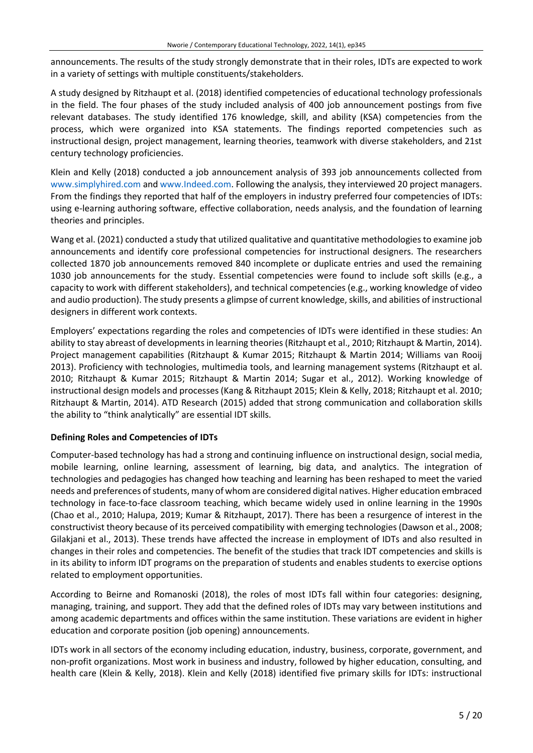announcements. The results of the study strongly demonstrate that in their roles, IDTs are expected to work in a variety of settings with multiple constituents/stakeholders.

A study designed by Ritzhaupt et al. (2018) identified competencies of educational technology professionals in the field. The four phases of the study included analysis of 400 job announcement postings from five relevant databases. The study identified 176 knowledge, skill, and ability (KSA) competencies from the process, which were organized into KSA statements. The findings reported competencies such as instructional design, project management, learning theories, teamwork with diverse stakeholders, and 21st century technology proficiencies.

Klein and Kelly (2018) conducted a job announcement analysis of 393 job announcements collected from [www.simplyhired.com](http://www.simplyhired.com/) and [www.Indeed.com.](http://www.indeed.com/) Following the analysis, they interviewed 20 project managers. From the findings they reported that half of the employers in industry preferred four competencies of IDTs: using e-learning authoring software, effective collaboration, needs analysis, and the foundation of learning theories and principles.

Wang et al. (2021) conducted a study that utilized qualitative and quantitative methodologies to examine job announcements and identify core professional competencies for instructional designers. The researchers collected 1870 job announcements removed 840 incomplete or duplicate entries and used the remaining 1030 job announcements for the study. Essential competencies were found to include soft skills (e.g., a capacity to work with different stakeholders), and technical competencies (e.g., working knowledge of video and audio production). The study presents a glimpse of current knowledge, skills, and abilities of instructional designers in different work contexts.

Employers' expectations regarding the roles and competencies of IDTs were identified in these studies: An ability to stay abreast of developments in learning theories (Ritzhaupt et al., 2010; Ritzhaupt & Martin, 2014). Project management capabilities (Ritzhaupt & Kumar 2015; Ritzhaupt & Martin 2014; Williams van Rooij 2013). Proficiency with technologies, multimedia tools, and learning management systems (Ritzhaupt et al. 2010; Ritzhaupt & Kumar 2015; Ritzhaupt & Martin 2014; Sugar et al., 2012). Working knowledge of instructional design models and processes (Kang & Ritzhaupt 2015; Klein & Kelly, 2018; Ritzhaupt et al. 2010; Ritzhaupt & Martin, 2014). ATD Research (2015) added that strong communication and collaboration skills the ability to "think analytically" are essential IDT skills.

## **Defining Roles and Competencies of IDTs**

Computer-based technology has had a strong and continuing influence on instructional design, social media, mobile learning, online learning, assessment of learning, big data, and analytics. The integration of technologies and pedagogies has changed how teaching and learning has been reshaped to meet the varied needs and preferences of students, many of whom are considered digital natives. Higher education embraced technology in face-to-face classroom teaching, which became widely used in online learning in the 1990s (Chao et al., 2010; Halupa, 2019; Kumar & Ritzhaupt, 2017). There has been a resurgence of interest in the constructivist theory because of its perceived compatibility with emerging technologies(Dawson et al., 2008; Gilakjani et al., 2013). These trends have affected the increase in employment of IDTs and also resulted in changes in their roles and competencies. The benefit of the studies that track IDT competencies and skills is in its ability to inform IDT programs on the preparation of students and enables students to exercise options related to employment opportunities.

According to Beirne and Romanoski (2018), the roles of most IDTs fall within four categories: designing, managing, training, and support. They add that the defined roles of IDTs may vary between institutions and among academic departments and offices within the same institution. These variations are evident in higher education and corporate position (job opening) announcements.

IDTs work in all sectors of the economy including education, industry, business, corporate, government, and non-profit organizations. Most work in business and industry, followed by higher education, consulting, and health care (Klein & Kelly, 2018). Klein and Kelly (2018) identified five primary skills for IDTs: instructional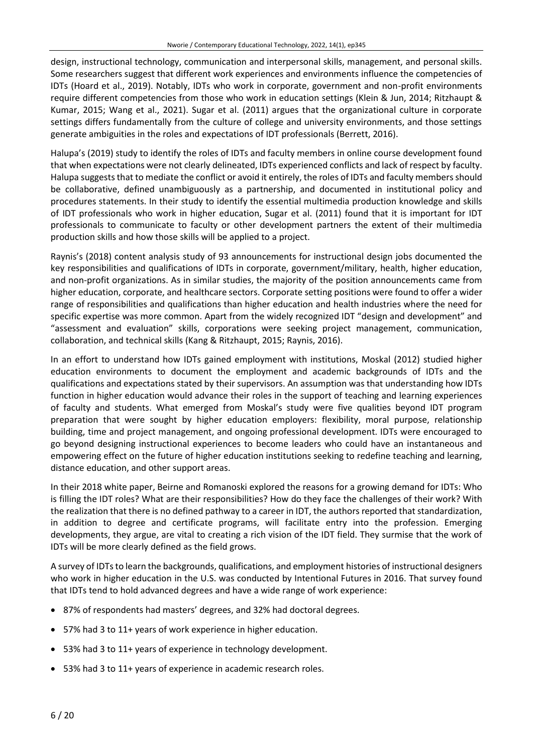design, instructional technology, communication and interpersonal skills, management, and personal skills. Some researchers suggest that different work experiences and environments influence the competencies of IDTs (Hoard et al., 2019). Notably, IDTs who work in corporate, government and non-profit environments require different competencies from those who work in education settings (Klein & Jun, 2014; Ritzhaupt & Kumar, 2015; Wang et al., 2021). Sugar et al. (2011) argues that the organizational culture in corporate settings differs fundamentally from the culture of college and university environments, and those settings generate ambiguities in the roles and expectations of IDT professionals (Berrett, 2016).

Halupa's (2019) study to identify the roles of IDTs and faculty members in online course development found that when expectations were not clearly delineated, IDTs experienced conflicts and lack of respect by faculty. Halupa suggeststhat to mediate the conflict or avoid it entirely, the roles of IDTs and faculty membersshould be collaborative, defined unambiguously as a partnership, and documented in institutional policy and procedures statements. In their study to identify the essential multimedia production knowledge and skills of IDT professionals who work in higher education, Sugar et al. (2011) found that it is important for IDT professionals to communicate to faculty or other development partners the extent of their multimedia production skills and how those skills will be applied to a project.

Raynis's (2018) content analysis study of 93 announcements for instructional design jobs documented the key responsibilities and qualifications of IDTs in corporate, government/military, health, higher education, and non-profit organizations. As in similar studies, the majority of the position announcements came from higher education, corporate, and healthcare sectors. Corporate setting positions were found to offer a wider range of responsibilities and qualifications than higher education and health industries where the need for specific expertise was more common. Apart from the widely recognized IDT "design and development" and "assessment and evaluation" skills, corporations were seeking project management, communication, collaboration, and technical skills (Kang & Ritzhaupt, 2015; Raynis, 2016).

In an effort to understand how IDTs gained employment with institutions, Moskal (2012) studied higher education environments to document the employment and academic backgrounds of IDTs and the qualifications and expectations stated by their supervisors. An assumption was that understanding how IDTs function in higher education would advance their roles in the support of teaching and learning experiences of faculty and students. What emerged from Moskal's study were five qualities beyond IDT program preparation that were sought by higher education employers: flexibility, moral purpose, relationship building, time and project management, and ongoing professional development. IDTs were encouraged to go beyond designing instructional experiences to become leaders who could have an instantaneous and empowering effect on the future of higher education institutions seeking to redefine teaching and learning, distance education, and other support areas.

In their 2018 white paper, Beirne and Romanoski explored the reasons for a growing demand for IDTs: Who is filling the IDT roles? What are their responsibilities? How do they face the challenges of their work? With the realization that there is no defined pathway to a career in IDT, the authors reported that standardization, in addition to degree and certificate programs, will facilitate entry into the profession. Emerging developments, they argue, are vital to creating a rich vision of the IDT field. They surmise that the work of IDTs will be more clearly defined as the field grows.

A survey of IDTsto learn the backgrounds, qualifications, and employment histories of instructional designers who work in higher education in the U.S. was conducted by Intentional Futures in 2016. That survey found that IDTs tend to hold advanced degrees and have a wide range of work experience:

- 87% of respondents had masters' degrees, and 32% had doctoral degrees.
- 57% had 3 to 11+ years of work experience in higher education.
- 53% had 3 to 11+ years of experience in technology development.
- 53% had 3 to 11+ years of experience in academic research roles.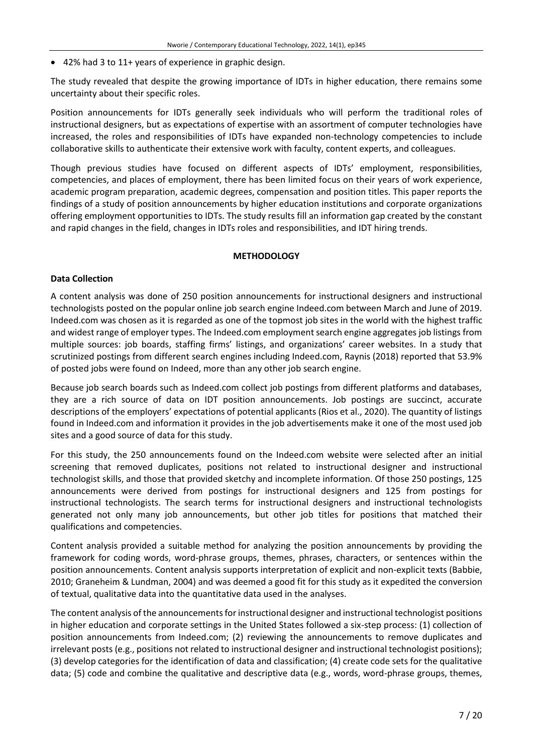• 42% had 3 to 11+ years of experience in graphic design.

The study revealed that despite the growing importance of IDTs in higher education, there remains some uncertainty about their specific roles.

Position announcements for IDTs generally seek individuals who will perform the traditional roles of instructional designers, but as expectations of expertise with an assortment of computer technologies have increased, the roles and responsibilities of IDTs have expanded non-technology competencies to include collaborative skills to authenticate their extensive work with faculty, content experts, and colleagues.

Though previous studies have focused on different aspects of IDTs' employment, responsibilities, competencies, and places of employment, there has been limited focus on their years of work experience, academic program preparation, academic degrees, compensation and position titles. This paper reports the findings of a study of position announcements by higher education institutions and corporate organizations offering employment opportunities to IDTs. The study results fill an information gap created by the constant and rapid changes in the field, changes in IDTs roles and responsibilities, and IDT hiring trends.

## **METHODOLOGY**

## **Data Collection**

A content analysis was done of 250 position announcements for instructional designers and instructional technologists posted on the popular online job search engine Indeed.com between March and June of 2019. Indeed.com was chosen as it is regarded as one of the topmost job sites in the world with the highest traffic and widest range of employer types. The Indeed.com employment search engine aggregates job listings from multiple sources: job boards, staffing firms' listings, and organizations' career websites. In a study that scrutinized postings from different search engines including Indeed.com, Raynis (2018) reported that 53.9% of posted jobs were found on Indeed, more than any other job search engine.

Because job search boards such as Indeed.com collect job postings from different platforms and databases, they are a rich source of data on IDT position announcements. Job postings are succinct, accurate descriptions of the employers' expectations of potential applicants (Rios et al., 2020). The quantity of listings found in Indeed.com and information it provides in the job advertisements make it one of the most used job sites and a good source of data for this study.

For this study, the 250 announcements found on the Indeed.com website were selected after an initial screening that removed duplicates, positions not related to instructional designer and instructional technologist skills, and those that provided sketchy and incomplete information. Of those 250 postings, 125 announcements were derived from postings for instructional designers and 125 from postings for instructional technologists. The search terms for instructional designers and instructional technologists generated not only many job announcements, but other job titles for positions that matched their qualifications and competencies.

Content analysis provided a suitable method for analyzing the position announcements by providing the framework for coding words, word-phrase groups, themes, phrases, characters, or sentences within the position announcements. Content analysis supports interpretation of explicit and non-explicit texts (Babbie, 2010; Graneheim & Lundman, 2004) and was deemed a good fit for this study as it expedited the conversion of textual, qualitative data into the quantitative data used in the analyses.

The content analysis of the announcements for instructional designer and instructional technologist positions in higher education and corporate settings in the United States followed a six-step process: (1) collection of position announcements from Indeed.com; (2) reviewing the announcements to remove duplicates and irrelevant posts (e.g., positions not related to instructional designer and instructional technologist positions); (3) develop categories for the identification of data and classification; (4) create code sets for the qualitative data; (5) code and combine the qualitative and descriptive data (e.g., words, word-phrase groups, themes,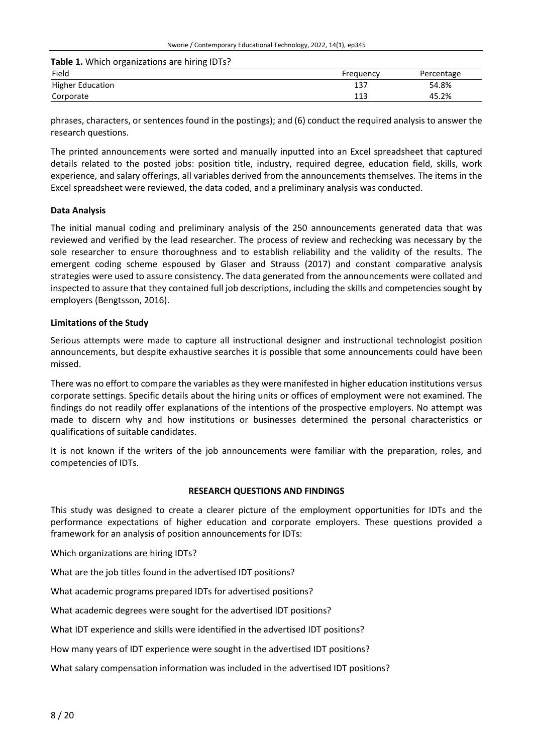**Table 1.** Which organizations are hiring IDTs?

| Field                   | Frequency  | Percentage |
|-------------------------|------------|------------|
| <b>Higher Education</b> | 137        | 54.8%      |
| Corporate               | 117<br>ᆠᆂᄀ | 45.2%      |

phrases, characters, or sentences found in the postings); and (6) conduct the required analysis to answer the research questions.

The printed announcements were sorted and manually inputted into an Excel spreadsheet that captured details related to the posted jobs: position title, industry, required degree, education field, skills, work experience, and salary offerings, all variables derived from the announcements themselves. The items in the Excel spreadsheet were reviewed, the data coded, and a preliminary analysis was conducted.

#### **Data Analysis**

The initial manual coding and preliminary analysis of the 250 announcements generated data that was reviewed and verified by the lead researcher. The process of review and rechecking was necessary by the sole researcher to ensure thoroughness and to establish reliability and the validity of the results. The emergent coding scheme espoused by Glaser and Strauss (2017) and constant comparative analysis strategies were used to assure consistency. The data generated from the announcements were collated and inspected to assure that they contained full job descriptions, including the skills and competencies sought by employers (Bengtsson, 2016).

#### **Limitations of the Study**

Serious attempts were made to capture all instructional designer and instructional technologist position announcements, but despite exhaustive searches it is possible that some announcements could have been missed.

There was no effort to compare the variables as they were manifested in higher education institutions versus corporate settings. Specific details about the hiring units or offices of employment were not examined. The findings do not readily offer explanations of the intentions of the prospective employers. No attempt was made to discern why and how institutions or businesses determined the personal characteristics or qualifications of suitable candidates.

It is not known if the writers of the job announcements were familiar with the preparation, roles, and competencies of IDTs.

#### **RESEARCH QUESTIONS AND FINDINGS**

This study was designed to create a clearer picture of the employment opportunities for IDTs and the performance expectations of higher education and corporate employers. These questions provided a framework for an analysis of position announcements for IDTs:

Which organizations are hiring IDTs?

What are the job titles found in the advertised IDT positions?

What academic programs prepared IDTs for advertised positions?

What academic degrees were sought for the advertised IDT positions?

What IDT experience and skills were identified in the advertised IDT positions?

How many years of IDT experience were sought in the advertised IDT positions?

What salary compensation information was included in the advertised IDT positions?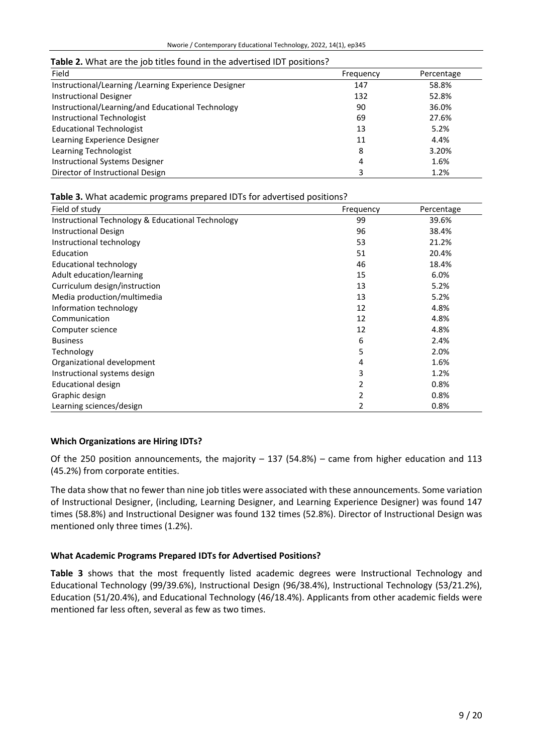| Field                                                | Frequency | Percentage |
|------------------------------------------------------|-----------|------------|
| Instructional/Learning /Learning Experience Designer | 147       | 58.8%      |
| <b>Instructional Designer</b>                        | 132       | 52.8%      |
| Instructional/Learning/and Educational Technology    | 90        | 36.0%      |
| Instructional Technologist                           | 69        | 27.6%      |
| <b>Educational Technologist</b>                      | 13        | 5.2%       |
| Learning Experience Designer                         | 11        | 4.4%       |
| Learning Technologist                                | 8         | 3.20%      |
| <b>Instructional Systems Designer</b>                | 4         | 1.6%       |
| Director of Instructional Design                     | 3         | 1.2%       |

## **Table 2.** What are the job titles found in the advertised IDT positions?

## **Table 3.** What academic programs prepared IDTs for advertised positions?

| Field of study                                    | Frequency | Percentage |
|---------------------------------------------------|-----------|------------|
| Instructional Technology & Educational Technology | 99        | 39.6%      |
| <b>Instructional Design</b>                       | 96        | 38.4%      |
| Instructional technology                          | 53        | 21.2%      |
| Education                                         | 51        | 20.4%      |
| <b>Educational technology</b>                     | 46        | 18.4%      |
| Adult education/learning                          | 15        | 6.0%       |
| Curriculum design/instruction                     | 13        | 5.2%       |
| Media production/multimedia                       | 13        | 5.2%       |
| Information technology                            | 12        | 4.8%       |
| Communication                                     | 12        | 4.8%       |
| Computer science                                  | 12        | 4.8%       |
| <b>Business</b>                                   | 6         | 2.4%       |
| Technology                                        | 5         | 2.0%       |
| Organizational development                        | 4         | 1.6%       |
| Instructional systems design                      | 3         | 1.2%       |
| Educational design                                |           | 0.8%       |
| Graphic design                                    |           | 0.8%       |
| Learning sciences/design                          |           | 0.8%       |

## **Which Organizations are Hiring IDTs?**

Of the 250 position announcements, the majority  $-137$  (54.8%) – came from higher education and 113 (45.2%) from corporate entities.

The data show that no fewer than nine job titles were associated with these announcements. Some variation of Instructional Designer, (including, Learning Designer, and Learning Experience Designer) was found 147 times (58.8%) and Instructional Designer was found 132 times (52.8%). Director of Instructional Design was mentioned only three times (1.2%).

## **What Academic Programs Prepared IDTs for Advertised Positions?**

**Table 3** shows that the most frequently listed academic degrees were Instructional Technology and Educational Technology (99/39.6%), Instructional Design (96/38.4%), Instructional Technology (53/21.2%), Education (51/20.4%), and Educational Technology (46/18.4%). Applicants from other academic fields were mentioned far less often, several as few as two times.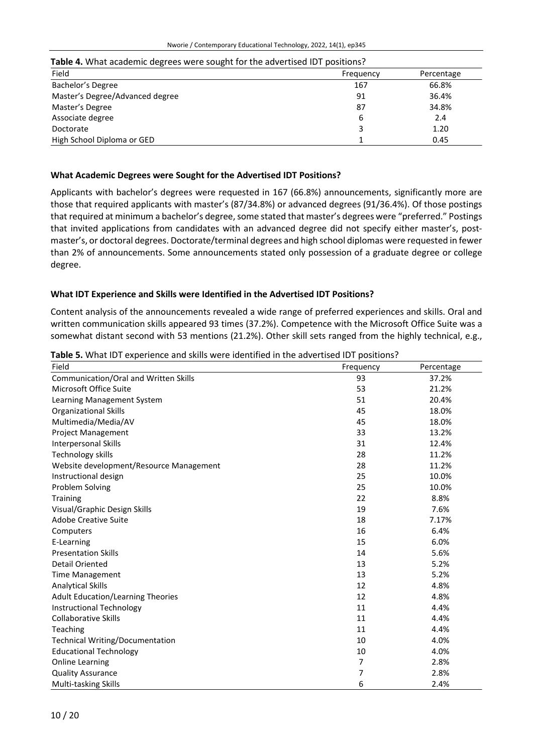| <b>TWEE</b> TO MINIMUMPED TO MEET SUBSITEED. THE BUYER HOLD TO POSITIONS: |           |            |
|---------------------------------------------------------------------------|-----------|------------|
| Field                                                                     | Frequency | Percentage |
| Bachelor's Degree                                                         | 167       | 66.8%      |
| Master's Degree/Advanced degree                                           | 91        | 36.4%      |
| Master's Degree                                                           | 87        | 34.8%      |
| Associate degree                                                          | 6         | 2.4        |
| Doctorate                                                                 |           | 1.20       |
| High School Diploma or GED                                                |           | 0.45       |

#### **Table 4.** What academic degrees were sought for the advertised IDT positions?

#### **What Academic Degrees were Sought for the Advertised IDT Positions?**

Applicants with bachelor's degrees were requested in 167 (66.8%) announcements, significantly more are those that required applicants with master's (87/34.8%) or advanced degrees (91/36.4%). Of those postings that required at minimum a bachelor's degree, some stated that master's degrees were "preferred." Postings that invited applications from candidates with an advanced degree did not specify either master's, postmaster's, or doctoral degrees. Doctorate/terminal degrees and high school diplomas were requested in fewer than 2% of announcements. Some announcements stated only possession of a graduate degree or college degree.

#### **What IDT Experience and Skills were Identified in the Advertised IDT Positions?**

Content analysis of the announcements revealed a wide range of preferred experiences and skills. Oral and written communication skills appeared 93 times (37.2%). Competence with the Microsoft Office Suite was a somewhat distant second with 53 mentions (21.2%). Other skill sets ranged from the highly technical, e.g.,

| Field                                    | Frequency | Percentage |
|------------------------------------------|-----------|------------|
| Communication/Oral and Written Skills    | 93        | 37.2%      |
| Microsoft Office Suite                   | 53        | 21.2%      |
| Learning Management System               | 51        | 20.4%      |
| <b>Organizational Skills</b>             | 45        | 18.0%      |
| Multimedia/Media/AV                      | 45        | 18.0%      |
| <b>Project Management</b>                | 33        | 13.2%      |
| <b>Interpersonal Skills</b>              | 31        | 12.4%      |
| <b>Technology skills</b>                 | 28        | 11.2%      |
| Website development/Resource Management  | 28        | 11.2%      |
| Instructional design                     | 25        | 10.0%      |
| Problem Solving                          | 25        | 10.0%      |
| <b>Training</b>                          | 22        | 8.8%       |
| Visual/Graphic Design Skills             | 19        | 7.6%       |
| <b>Adobe Creative Suite</b>              | 18        | 7.17%      |
| Computers                                | 16        | 6.4%       |
| E-Learning                               | 15        | 6.0%       |
| <b>Presentation Skills</b>               | 14        | 5.6%       |
| <b>Detail Oriented</b>                   | 13        | 5.2%       |
| <b>Time Management</b>                   | 13        | 5.2%       |
| <b>Analytical Skills</b>                 | 12        | 4.8%       |
| <b>Adult Education/Learning Theories</b> | 12        | 4.8%       |
| <b>Instructional Technology</b>          | 11        | 4.4%       |
| <b>Collaborative Skills</b>              | 11        | 4.4%       |
| Teaching                                 | 11        | 4.4%       |
| <b>Technical Writing/Documentation</b>   | 10        | 4.0%       |
| <b>Educational Technology</b>            | 10        | 4.0%       |
| <b>Online Learning</b>                   | 7         | 2.8%       |
| <b>Quality Assurance</b>                 | 7         | 2.8%       |
| Multi-tasking Skills                     | 6         | 2.4%       |

**Table 5.** What IDT experience and skills were identified in the advertised IDT positions?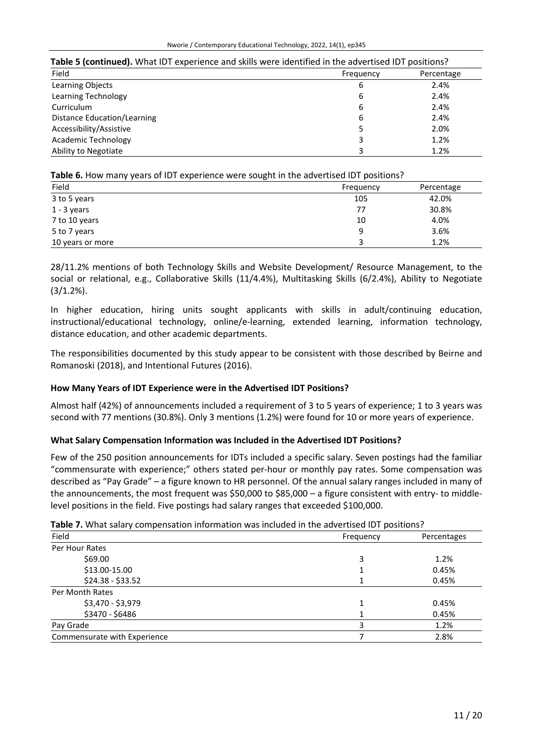| Table 5 (continued). What IDT experience and skills were identified in the advertised IDT positions? |           |            |
|------------------------------------------------------------------------------------------------------|-----------|------------|
| Field                                                                                                | Frequency | Percentage |
| Learning Objects                                                                                     | 6         | 2.4%       |
| Learning Technology                                                                                  | 6         | 2.4%       |
| Curriculum                                                                                           | 6         | 2.4%       |
| Distance Education/Learning                                                                          | 6         | 2.4%       |
| Accessibility/Assistive                                                                              |           | 2.0%       |
| Academic Technology                                                                                  |           | 1.2%       |
| Ability to Negotiate                                                                                 |           | 1.2%       |

## **Table 6.** How many years of IDT experience were sought in the advertised IDT positions?

| Field            | Frequency | Percentage |
|------------------|-----------|------------|
| 3 to 5 years     | 105       | 42.0%      |
| $1 - 3$ years    | 77        | 30.8%      |
| 7 to 10 years    | 10        | 4.0%       |
| 5 to 7 years     | 9         | 3.6%       |
| 10 years or more | ₹         | 1.2%       |

28/11.2% mentions of both Technology Skills and Website Development/ Resource Management, to the social or relational, e.g., Collaborative Skills (11/4.4%), Multitasking Skills (6/2.4%), Ability to Negotiate (3/1.2%).

In higher education, hiring units sought applicants with skills in adult/continuing education, instructional/educational technology, online/e-learning, extended learning, information technology, distance education, and other academic departments.

The responsibilities documented by this study appear to be consistent with those described by Beirne and Romanoski (2018), and Intentional Futures (2016).

## **How Many Years of IDT Experience were in the Advertised IDT Positions?**

Almost half (42%) of announcements included a requirement of 3 to 5 years of experience; 1 to 3 years was second with 77 mentions (30.8%). Only 3 mentions (1.2%) were found for 10 or more years of experience.

## **What Salary Compensation Information was Included in the Advertised IDT Positions?**

Few of the 250 position announcements for IDTs included a specific salary. Seven postings had the familiar "commensurate with experience;" others stated per-hour or monthly pay rates. Some compensation was described as "Pay Grade" – a figure known to HR personnel. Of the annual salary ranges included in many of the announcements, the most frequent was \$50,000 to \$85,000 – a figure consistent with entry- to middlelevel positions in the field. Five postings had salary ranges that exceeded \$100,000.

## **Table 7.** What salary compensation information was included in the advertised IDT positions?

| Field                        | Frequency | Percentages |
|------------------------------|-----------|-------------|
| Per Hour Rates               |           |             |
| \$69.00                      | 3         | 1.2%        |
| \$13.00-15.00                |           | 0.45%       |
| $$24.38 - $33.52$            |           | 0.45%       |
| Per Month Rates              |           |             |
| \$3,470 - \$3,979            |           | 0.45%       |
| \$3470 - \$6486              |           | 0.45%       |
| Pay Grade                    |           | 1.2%        |
| Commensurate with Experience |           | 2.8%        |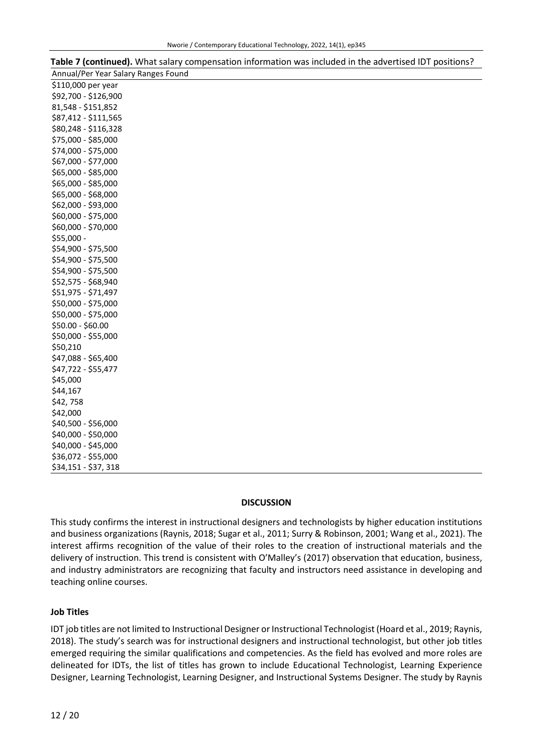| Annual/Per Year Salary Ranges Found |
|-------------------------------------|
| \$110,000 per year                  |
| \$92,700 - \$126,900                |
| 81,548 - \$151,852                  |
| \$87,412 - \$111,565                |
| \$80,248 - \$116,328                |
| \$75,000 - \$85,000                 |
| \$74,000 - \$75,000                 |
| \$67,000 - \$77,000                 |
| \$65,000 - \$85,000                 |
| \$65,000 - \$85,000                 |
| \$65,000 - \$68,000                 |
| \$62,000 - \$93,000                 |
| \$60,000 - \$75,000                 |
| \$60,000 - \$70,000                 |
| \$55,000 -                          |
| \$54,900 - \$75,500                 |
| \$54,900 - \$75,500                 |
| \$54,900 - \$75,500                 |
| \$52,575 - \$68,940                 |
| \$51,975 - \$71,497                 |
| \$50,000 - \$75,000                 |
| \$50,000 - \$75,000                 |
| \$50.00 - \$60.00                   |
| \$50,000 - \$55,000                 |
| \$50,210                            |
| \$47,088 - \$65,400                 |
| \$47,722 - \$55,477                 |
| \$45,000                            |
| \$44,167                            |
| \$42,758                            |
| \$42,000                            |
| \$40,500 - \$56,000                 |
| \$40,000 - \$50,000                 |
| \$40,000 - \$45,000                 |
| \$36,072 - \$55,000                 |
| \$34,151 - \$37,318                 |

# **Table 7 (continued).** What salary compensation information was included in the advertised IDT positions?

## **DISCUSSION**

This study confirms the interest in instructional designers and technologists by higher education institutions and business organizations (Raynis, 2018; Sugar et al., 2011; Surry & Robinson, 2001; Wang et al., 2021). The interest affirms recognition of the value of their roles to the creation of instructional materials and the delivery of instruction. This trend is consistent with O'Malley's (2017) observation that education, business, and industry administrators are recognizing that faculty and instructors need assistance in developing and teaching online courses.

## **Job Titles**

IDT job titles are not limited to Instructional Designer or Instructional Technologist (Hoard et al., 2019; Raynis, 2018). The study's search was for instructional designers and instructional technologist, but other job titles emerged requiring the similar qualifications and competencies. As the field has evolved and more roles are delineated for IDTs, the list of titles has grown to include Educational Technologist, Learning Experience Designer, Learning Technologist, Learning Designer, and Instructional Systems Designer. The study by Raynis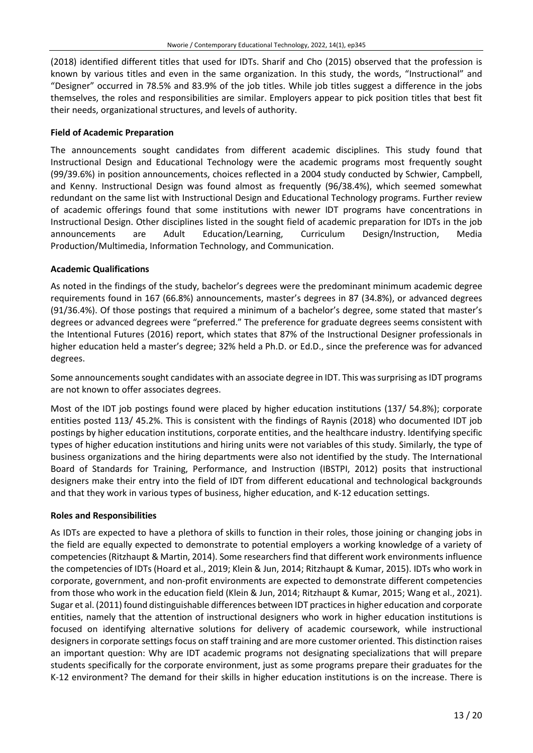(2018) identified different titles that used for IDTs. Sharif and Cho (2015) observed that the profession is known by various titles and even in the same organization. In this study, the words, "Instructional" and "Designer" occurred in 78.5% and 83.9% of the job titles. While job titles suggest a difference in the jobs themselves, the roles and responsibilities are similar. Employers appear to pick position titles that best fit their needs, organizational structures, and levels of authority.

## **Field of Academic Preparation**

The announcements sought candidates from different academic disciplines. This study found that Instructional Design and Educational Technology were the academic programs most frequently sought (99/39.6%) in position announcements, choices reflected in a 2004 study conducted by Schwier, Campbell, and Kenny. Instructional Design was found almost as frequently (96/38.4%), which seemed somewhat redundant on the same list with Instructional Design and Educational Technology programs. Further review of academic offerings found that some institutions with newer IDT programs have concentrations in Instructional Design. Other disciplines listed in the sought field of academic preparation for IDTs in the job announcements are Adult Education/Learning, Curriculum Design/Instruction, Media Production/Multimedia, Information Technology, and Communication.

## **Academic Qualifications**

As noted in the findings of the study, bachelor's degrees were the predominant minimum academic degree requirements found in 167 (66.8%) announcements, master's degrees in 87 (34.8%), or advanced degrees (91/36.4%). Of those postings that required a minimum of a bachelor's degree, some stated that master's degrees or advanced degrees were "preferred." The preference for graduate degrees seems consistent with the Intentional Futures (2016) report, which states that 87% of the Instructional Designer professionals in higher education held a master's degree; 32% held a Ph.D. or Ed.D., since the preference was for advanced degrees.

Some announcements sought candidates with an associate degree in IDT. This was surprising as IDT programs are not known to offer associates degrees.

Most of the IDT job postings found were placed by higher education institutions (137/ 54.8%); corporate entities posted 113/ 45.2%. This is consistent with the findings of Raynis (2018) who documented IDT job postings by higher education institutions, corporate entities, and the healthcare industry. Identifying specific types of higher education institutions and hiring units were not variables of this study. Similarly, the type of business organizations and the hiring departments were also not identified by the study. The International Board of Standards for Training, Performance, and Instruction (IBSTPI, 2012) posits that instructional designers make their entry into the field of IDT from different educational and technological backgrounds and that they work in various types of business, higher education, and K-12 education settings.

## **Roles and Responsibilities**

As IDTs are expected to have a plethora of skills to function in their roles, those joining or changing jobs in the field are equally expected to demonstrate to potential employers a working knowledge of a variety of competencies (Ritzhaupt & Martin, 2014). Some researchers find that different work environments influence the competencies of IDTs (Hoard et al., 2019; Klein & Jun, 2014; Ritzhaupt & Kumar, 2015). IDTs who work in corporate, government, and non-profit environments are expected to demonstrate different competencies from those who work in the education field (Klein & Jun, 2014; Ritzhaupt & Kumar, 2015; Wang et al., 2021). Sugar et al. (2011) found distinguishable differences between IDT practicesin higher education and corporate entities, namely that the attention of instructional designers who work in higher education institutions is focused on identifying alternative solutions for delivery of academic coursework, while instructional designers in corporate settings focus on staff training and are more customer oriented. This distinction raises an important question: Why are IDT academic programs not designating specializations that will prepare students specifically for the corporate environment, just as some programs prepare their graduates for the K-12 environment? The demand for their skills in higher education institutions is on the increase. There is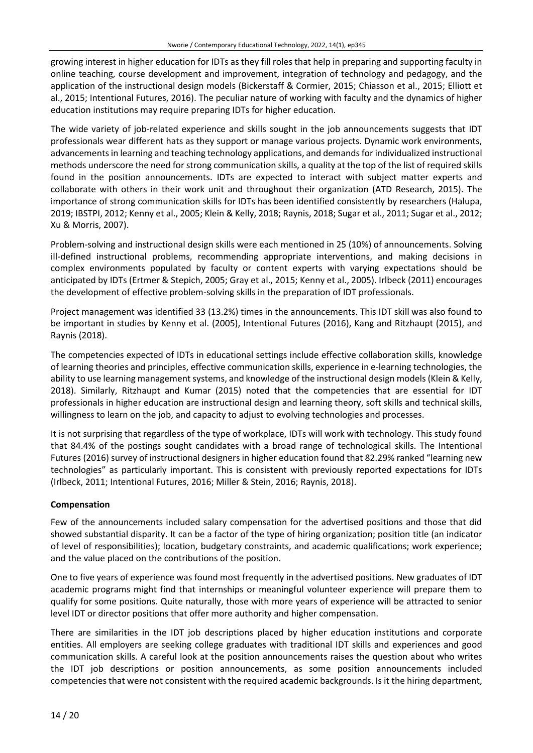growing interest in higher education for IDTs as they fill roles that help in preparing and supporting faculty in online teaching, course development and improvement, integration of technology and pedagogy, and the application of the instructional design models (Bickerstaff & Cormier, 2015; Chiasson et al., 2015; Elliott et al., 2015; Intentional Futures, 2016). The peculiar nature of working with faculty and the dynamics of higher education institutions may require preparing IDTs for higher education.

The wide variety of job-related experience and skills sought in the job announcements suggests that IDT professionals wear different hats as they support or manage various projects. Dynamic work environments, advancementsin learning and teaching technology applications, and demandsfor individualized instructional methods underscore the need for strong communication skills, a quality at the top of the list of required skills found in the position announcements. IDTs are expected to interact with subject matter experts and collaborate with others in their work unit and throughout their organization (ATD Research, 2015). The importance of strong communication skills for IDTs has been identified consistently by researchers (Halupa, 2019; IBSTPI, 2012; Kenny et al., 2005; Klein & Kelly, 2018; Raynis, 2018; Sugar et al., 2011; Sugar et al., 2012; Xu & Morris, 2007).

Problem-solving and instructional design skills were each mentioned in 25 (10%) of announcements. Solving ill-defined instructional problems, recommending appropriate interventions, and making decisions in complex environments populated by faculty or content experts with varying expectations should be anticipated by IDTs (Ertmer & Stepich, 2005; Gray et al., 2015; Kenny et al., 2005). Irlbeck (2011) encourages the development of effective problem-solving skills in the preparation of IDT professionals.

Project management was identified 33 (13.2%) times in the announcements. This IDT skill was also found to be important in studies by Kenny et al. (2005), Intentional Futures (2016), Kang and Ritzhaupt (2015), and Raynis (2018).

The competencies expected of IDTs in educational settings include effective collaboration skills, knowledge of learning theories and principles, effective communication skills, experience in e-learning technologies, the ability to use learning management systems, and knowledge of the instructional design models (Klein & Kelly, 2018). Similarly, Ritzhaupt and Kumar (2015) noted that the competencies that are essential for IDT professionals in higher education are instructional design and learning theory, soft skills and technical skills, willingness to learn on the job, and capacity to adjust to evolving technologies and processes.

It is not surprising that regardless of the type of workplace, IDTs will work with technology. This study found that 84.4% of the postings sought candidates with a broad range of technological skills. The Intentional Futures (2016) survey of instructional designers in higher education found that 82.29% ranked "learning new technologies" as particularly important. This is consistent with previously reported expectations for IDTs (Irlbeck, 2011; Intentional Futures, 2016; Miller & Stein, 2016; Raynis, 2018).

## **Compensation**

Few of the announcements included salary compensation for the advertised positions and those that did showed substantial disparity. It can be a factor of the type of hiring organization; position title (an indicator of level of responsibilities); location, budgetary constraints, and academic qualifications; work experience; and the value placed on the contributions of the position.

One to five years of experience was found most frequently in the advertised positions. New graduates of IDT academic programs might find that internships or meaningful volunteer experience will prepare them to qualify for some positions. Quite naturally, those with more years of experience will be attracted to senior level IDT or director positions that offer more authority and higher compensation.

There are similarities in the IDT job descriptions placed by higher education institutions and corporate entities. All employers are seeking college graduates with traditional IDT skills and experiences and good communication skills. A careful look at the position announcements raises the question about who writes the IDT job descriptions or position announcements, as some position announcements included competencies that were not consistent with the required academic backgrounds. Is it the hiring department,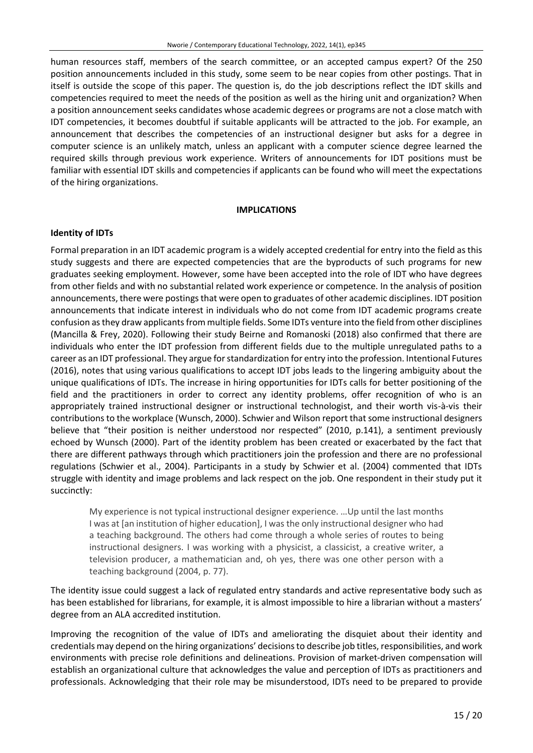human resources staff, members of the search committee, or an accepted campus expert? Of the 250 position announcements included in this study, some seem to be near copies from other postings. That in itself is outside the scope of this paper. The question is, do the job descriptions reflect the IDT skills and competencies required to meet the needs of the position as well as the hiring unit and organization? When a position announcement seeks candidates whose academic degrees or programs are not a close match with IDT competencies, it becomes doubtful if suitable applicants will be attracted to the job. For example, an announcement that describes the competencies of an instructional designer but asks for a degree in computer science is an unlikely match, unless an applicant with a computer science degree learned the required skills through previous work experience. Writers of announcements for IDT positions must be familiar with essential IDT skills and competencies if applicants can be found who will meet the expectations of the hiring organizations.

#### **IMPLICATIONS**

#### **Identity of IDTs**

Formal preparation in an IDT academic program is a widely accepted credential for entry into the field as this study suggests and there are expected competencies that are the byproducts of such programs for new graduates seeking employment. However, some have been accepted into the role of IDT who have degrees from other fields and with no substantial related work experience or competence. In the analysis of position announcements, there were postings that were open to graduates of other academic disciplines. IDT position announcements that indicate interest in individuals who do not come from IDT academic programs create confusion as they draw applicants from multiple fields. Some IDTs venture into the field from other disciplines (Mancilla & Frey, 2020). Following their study Beirne and Romanoski (2018) also confirmed that there are individuals who enter the IDT profession from different fields due to the multiple unregulated paths to a career as an IDT professional. They argue for standardization for entry into the profession. Intentional Futures (2016), notes that using various qualifications to accept IDT jobs leads to the lingering ambiguity about the unique qualifications of IDTs. The increase in hiring opportunities for IDTs calls for better positioning of the field and the practitioners in order to correct any identity problems, offer recognition of who is an appropriately trained instructional designer or instructional technologist, and their worth vis-à-vis their contributions to the workplace (Wunsch, 2000). Schwier and Wilson report that some instructional designers believe that "their position is neither understood nor respected" (2010, p.141), a sentiment previously echoed by Wunsch (2000). Part of the identity problem has been created or exacerbated by the fact that there are different pathways through which practitioners join the profession and there are no professional regulations (Schwier et al., 2004). Participants in a study by Schwier et al. (2004) commented that IDTs struggle with identity and image problems and lack respect on the job. One respondent in their study put it succinctly:

My experience is not typical instructional designer experience. …Up until the last months I was at [an institution of higher education], I was the only instructional designer who had a teaching background. The others had come through a whole series of routes to being instructional designers. I was working with a physicist, a classicist, a creative writer, a television producer, a mathematician and, oh yes, there was one other person with a teaching background (2004, p. 77).

The identity issue could suggest a lack of regulated entry standards and active representative body such as has been established for librarians, for example, it is almost impossible to hire a librarian without a masters' degree from an ALA accredited institution.

Improving the recognition of the value of IDTs and ameliorating the disquiet about their identity and credentials may depend on the hiring organizations' decisionsto describe job titles, responsibilities, and work environments with precise role definitions and delineations. Provision of market-driven compensation will establish an organizational culture that acknowledges the value and perception of IDTs as practitioners and professionals. Acknowledging that their role may be misunderstood, IDTs need to be prepared to provide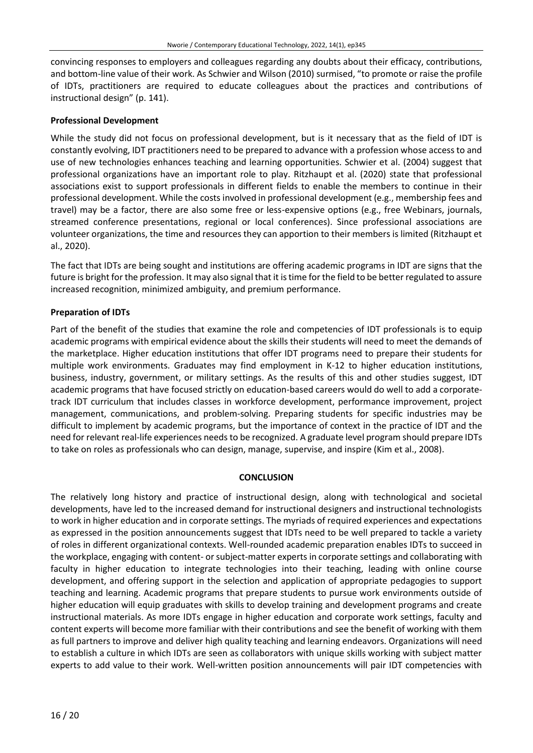convincing responses to employers and colleagues regarding any doubts about their efficacy, contributions, and bottom-line value of their work. As Schwier and Wilson (2010) surmised, "to promote or raise the profile of IDTs, practitioners are required to educate colleagues about the practices and contributions of instructional design" (p. 141).

## **Professional Development**

While the study did not focus on professional development, but is it necessary that as the field of IDT is constantly evolving, IDT practitioners need to be prepared to advance with a profession whose access to and use of new technologies enhances teaching and learning opportunities. Schwier et al. (2004) suggest that professional organizations have an important role to play. Ritzhaupt et al. (2020) state that professional associations exist to support professionals in different fields to enable the members to continue in their professional development. While the costs involved in professional development (e.g., membership fees and travel) may be a factor, there are also some free or less-expensive options (e.g., free Webinars, journals, streamed conference presentations, regional or local conferences). Since professional associations are volunteer organizations, the time and resources they can apportion to their members is limited (Ritzhaupt et al., 2020).

The fact that IDTs are being sought and institutions are offering academic programs in IDT are signs that the future is bright for the profession. It may also signal that it istime forthe field to be better regulated to assure increased recognition, minimized ambiguity, and premium performance.

## **Preparation of IDTs**

Part of the benefit of the studies that examine the role and competencies of IDT professionals is to equip academic programs with empirical evidence about the skills their students will need to meet the demands of the marketplace. Higher education institutions that offer IDT programs need to prepare their students for multiple work environments. Graduates may find employment in K-12 to higher education institutions, business, industry, government, or military settings. As the results of this and other studies suggest, IDT academic programs that have focused strictly on education-based careers would do well to add a corporatetrack IDT curriculum that includes classes in workforce development, performance improvement, project management, communications, and problem-solving. Preparing students for specific industries may be difficult to implement by academic programs, but the importance of context in the practice of IDT and the need for relevant real-life experiences needsto be recognized. A graduate level program should prepare IDTs to take on roles as professionals who can design, manage, supervise, and inspire (Kim et al., 2008).

## **CONCLUSION**

The relatively long history and practice of instructional design, along with technological and societal developments, have led to the increased demand for instructional designers and instructional technologists to work in higher education and in corporate settings. The myriads of required experiences and expectations as expressed in the position announcements suggest that IDTs need to be well prepared to tackle a variety of roles in different organizational contexts. Well-rounded academic preparation enables IDTs to succeed in the workplace, engaging with content- or subject-matter experts in corporate settings and collaborating with faculty in higher education to integrate technologies into their teaching, leading with online course development, and offering support in the selection and application of appropriate pedagogies to support teaching and learning. Academic programs that prepare students to pursue work environments outside of higher education will equip graduates with skills to develop training and development programs and create instructional materials. As more IDTs engage in higher education and corporate work settings, faculty and content experts will become more familiar with their contributions and see the benefit of working with them as full partners to improve and deliver high quality teaching and learning endeavors. Organizations will need to establish a culture in which IDTs are seen as collaborators with unique skills working with subject matter experts to add value to their work. Well-written position announcements will pair IDT competencies with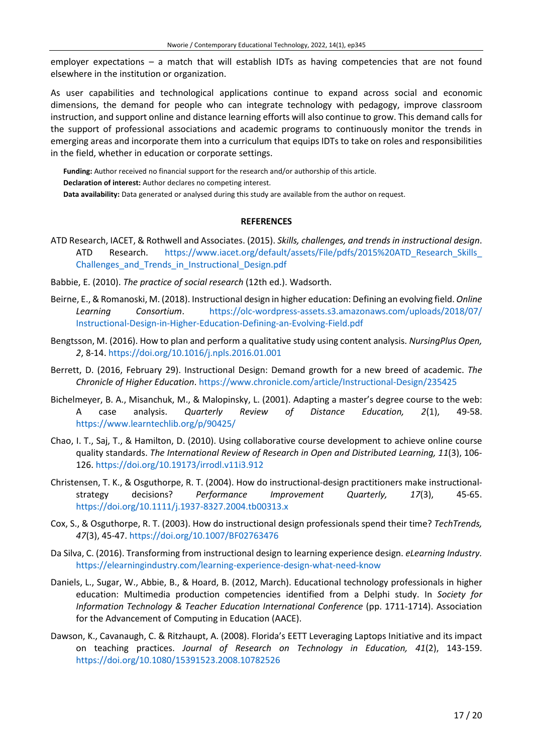employer expectations – a match that will establish IDTs as having competencies that are not found elsewhere in the institution or organization.

As user capabilities and technological applications continue to expand across social and economic dimensions, the demand for people who can integrate technology with pedagogy, improve classroom instruction, and support online and distance learning efforts will also continue to grow. This demand calls for the support of professional associations and academic programs to continuously monitor the trends in emerging areas and incorporate them into a curriculum that equips IDTs to take on roles and responsibilities in the field, whether in education or corporate settings.

**Funding:** Author received no financial support for the research and/or authorship of this article. **Declaration of interest:** Author declares no competing interest. **Data availability:** Data generated or analysed during this study are available from the author on request.

#### **REFERENCES**

- ATD Research, IACET, & Rothwell and Associates. (2015). *Skills, challenges, and trends in instructional design*. ATD Research. https://www.iacet.org/default/assets/File/pdfs/2015%20ATD Research Skills [Challenges\\_and\\_Trends\\_in\\_Instructional\\_Design.pdf](https://www.iacet.org/default/assets/File/pdfs/2015%20ATD_Research_Skills_Challenges_and_Trends_in_Instructional_Design.pdf)
- Babbie, E. (2010). *The practice of social research* (12th ed.). Wadsorth.
- Beirne, E., &Romanoski, M. (2018). Instructional design in higher education: Defining an evolving field. *Online Learning Consortium*. [https://olc-wordpress-assets.s3.amazonaws.com/uploads/2018/07/](https://olc-wordpress-assets.s3.amazonaws.com/uploads/2018/07/Instructional-Design-in-Higher-Education-Defining-an-Evolving-Field.pdf) [Instructional-Design-in-Higher-Education-Defining-an-Evolving-Field.pdf](https://olc-wordpress-assets.s3.amazonaws.com/uploads/2018/07/Instructional-Design-in-Higher-Education-Defining-an-Evolving-Field.pdf)
- Bengtsson, M. (2016). How to plan and perform a qualitative study using content analysis. *NursingPlus Open, 2*, 8-14. <https://doi.org/10.1016/j.npls.2016.01.001>
- Berrett, D. (2016, February 29). Instructional Design: Demand growth for a new breed of academic. *The Chronicle of Higher Education*. <https://www.chronicle.com/article/Instructional-Design/235425>
- Bichelmeyer, B. A., Misanchuk, M., & Malopinsky, L. (2001). Adapting a master's degree course to the web: A case analysis. *Quarterly Review of Distance Education, 2*(1), 49-58. <https://www.learntechlib.org/p/90425/>
- Chao, I. T., Saj, T., & Hamilton, D. (2010). Using collaborative course development to achieve online course quality standards. *The International Review of Research in Open and Distributed Learning, 11*(3), 106- 126. <https://doi.org/10.19173/irrodl.v11i3.912>
- Christensen, T. K., & Osguthorpe, R. T. (2004). How do instructional-design practitioners make instructionalstrategy decisions? *Performance Improvement Quarterly, 17*(3), 45-65. <https://doi.org/10.1111/j.1937-8327.2004.tb00313.x>
- Cox, S., & Osguthorpe, R. T. (2003). How do instructional design professionals spend their time? *TechTrends, 47*(3), 45-47. <https://doi.org/10.1007/BF02763476>
- Da Silva, C. (2016). Transforming from instructional design to learning experience design. *eLearning Industry.* <https://elearningindustry.com/learning-experience-design-what-need-know>
- Daniels, L., Sugar, W., Abbie, B., & Hoard, B. (2012, March). Educational technology professionals in higher education: Multimedia production competencies identified from a Delphi study. In *Society for Information Technology & Teacher Education International Conference* (pp. 1711-1714). Association for the Advancement of Computing in Education (AACE).
- Dawson, K., Cavanaugh, C. & Ritzhaupt, A. (2008). Florida's EETT Leveraging Laptops Initiative and its impact on teaching practices. *Journal of Research on Technology in Education, 41*(2), 143-159. <https://doi.org/10.1080/15391523.2008.10782526>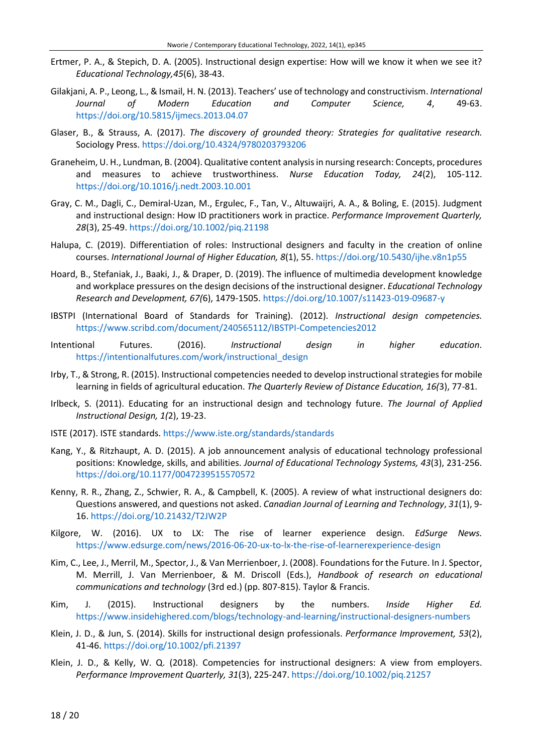- Ertmer, P. A., & Stepich, D. A. (2005). Instructional design expertise: How will we know it when we see it? *Educational Technology,45*(6), 38-43.
- Gilakjani, A. P., Leong, L., & Ismail, H. N. (2013). Teachers' use of technology and constructivism. *International Journal of Modern Education and Computer Science, 4*, 49-63. <https://doi.org/10.5815/ijmecs.2013.04.07>
- Glaser, B., & Strauss, A. (2017). *The discovery of grounded theory: Strategies for qualitative research.* Sociology Press. <https://doi.org/10.4324/9780203793206>
- Graneheim, U. H., Lundman, B. (2004). Qualitative content analysisin nursing research: Concepts, procedures and measures to achieve trustworthiness. *Nurse Education Today, 24*(2), 105-112. <https://doi.org/10.1016/j.nedt.2003.10.001>
- Gray, C. M., Dagli, C., Demiral‐Uzan, M., Ergulec, F., Tan, V., Altuwaijri, A. A., & Boling, E. (2015). Judgment and instructional design: How ID practitioners work in practice. *Performance Improvement Quarterly, 28*(3), 25-49. <https://doi.org/10.1002/piq.21198>
- Halupa, C. (2019). Differentiation of roles: Instructional designers and faculty in the creation of online courses. *International Journal of Higher Education, 8*(1), 55. <https://doi.org/10.5430/ijhe.v8n1p55>
- Hoard, B., Stefaniak, J., Baaki, J., & Draper, D. (2019). The influence of multimedia development knowledge and workplace pressures on the design decisions of the instructional designer. *Educational Technology Research and Development, 67(*6), 1479-1505. <https://doi.org/10.1007/s11423-019-09687-y>
- IBSTPI (International Board of Standards for Training). (2012). *Instructional design competencies.* <https://www.scribd.com/document/240565112/IBSTPI-Competencies2012>
- Intentional Futures. (2016). *Instructional design in higher education*. [https://intentionalfutures.com/work/instructional\\_design](https://intentionalfutures.com/work/instructional_design)
- Irby, T., & Strong, R. (2015). Instructional competencies needed to develop instructionalstrategiesfor mobile learning in fields of agricultural education. *The Quarterly Review of Distance Education, 16(*3), 77-81.
- Irlbeck, S. (2011). Educating for an instructional design and technology future. *The Journal of Applied Instructional Design, 1(*2), 19-23.
- ISTE (2017). ISTE standards. <https://www.iste.org/standards/standards>
- Kang, Y., & Ritzhaupt, A. D. (2015). A job announcement analysis of educational technology professional positions: Knowledge, skills, and abilities. *Journal of Educational Technology Systems, 43*(3), 231-256. <https://doi.org/10.1177/0047239515570572>
- Kenny, R. R., Zhang, Z., Schwier, R. A., & Campbell, K. (2005). A review of what instructional designers do: Questions answered, and questions not asked. *Canadian Journal of Learning and Technology*, *31*(1), 9- 16. <https://doi.org/10.21432/T2JW2P>
- Kilgore, W. (2016). UX to LX: The rise of learner experience design. *EdSurge News.* <https://www.edsurge.com/news/2016-06-20-ux-to-lx-the-rise-of-learnerexperience-design>
- Kim, C., Lee, J., Merril, M., Spector, J., & Van Merrienboer, J. (2008). Foundations for the Future. In J. Spector, M. Merrill, J. Van Merrienboer, & M. Driscoll (Eds.), *Handbook of research on educational communications and technology* (3rd ed.) (pp. 807-815). Taylor & Francis.
- Kim, J. (2015). Instructional designers by the numbers. *Inside Higher Ed.* <https://www.insidehighered.com/blogs/technology-and-learning/instructional-designers-numbers>
- Klein, J. D., & Jun, S. (2014). Skills for instructional design professionals. *Performance Improvement, 53*(2), 41-46. <https://doi.org/10.1002/pfi.21397>
- Klein, J. D., & Kelly, W. Q. (2018). Competencies for instructional designers: A view from employers. *Performance Improvement Quarterly, 31*(3), 225-247. <https://doi.org/10.1002/piq.21257>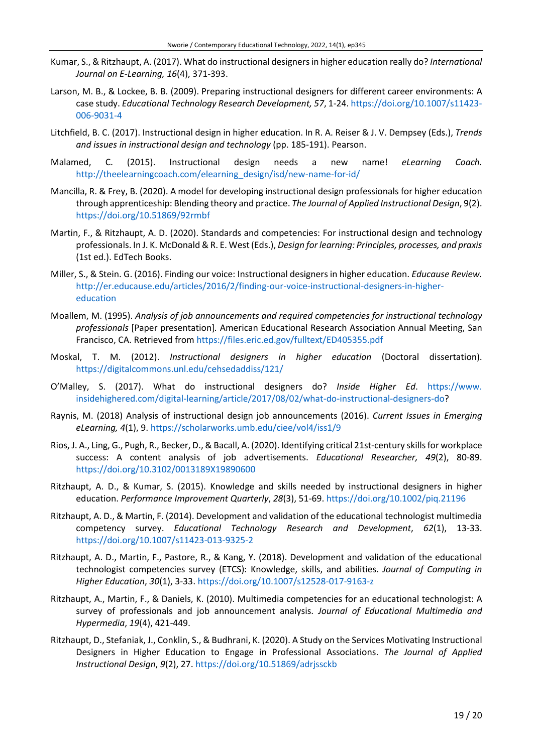- Kumar, S., & Ritzhaupt, A. (2017). What do instructional designersin higher education really do? *International Journal on E-Learning, 16*(4), 371-393.
- Larson, M. B., & Lockee, B. B. (2009). Preparing instructional designers for different career environments: A case study. *Educational Technology Research Development, 57*, 1-24. [https://doi.org/10.1007/s11423-](https://doi.org/10.1007/s11423-006-9031-4) [006-9031-4](https://doi.org/10.1007/s11423-006-9031-4)
- Litchfield, B. C. (2017). Instructional design in higher education. In R. A. Reiser & J. V. Dempsey (Eds.), *Trends and issues in instructional design and technology* (pp. 185-191). Pearson.
- Malamed, C. (2015). Instructional design needs a new name! *eLearning Coach.* [http://theelearningcoach.com/elearning\\_design/isd/new-name-for-id/](http://theelearningcoach.com/elearning_design/isd/new-name-for-id/)
- Mancilla, R. & Frey, B. (2020). A model for developing instructional design professionals for higher education through apprenticeship: Blending theory and practice. *The Journal of Applied Instructional Design*, 9(2). <https://doi.org/10.51869/92rmbf>
- Martin, F., & Ritzhaupt, A. D. (2020). Standards and competencies: For instructional design and technology professionals. In J. K. McDonald& R. E. West (Eds.), *Design for learning: Principles, processes, and praxis* (1st ed.). EdTech Books.
- Miller, S., & Stein. G. (2016). Finding our voice: Instructional designers in higher education. *Educause Review.* [http://er.educause.edu/articles/2016/2/finding-our-voice-instructional-designers-in-higher](http://er.educause.edu/articles/2016/2/finding-our-voice-instructional-designers-in-higher-education)[education](http://er.educause.edu/articles/2016/2/finding-our-voice-instructional-designers-in-higher-education)
- Moallem, M. (1995). *Analysis of job announcements and required competencies for instructional technology professionals* [Paper presentation]*.* American Educational Research Association Annual Meeting, San Francisco, CA. Retrieved from <https://files.eric.ed.gov/fulltext/ED405355.pdf>
- Moskal, T. M. (2012). *Instructional designers in higher education* (Doctoral dissertation). <https://digitalcommons.unl.edu/cehsedaddiss/121/>
- O'Malley, S. (2017). What do instructional designers do? *Inside Higher Ed*. [https://www.](https://www.insidehighered.com/digital-learning/article/2017/08/02/what-do-instructional-designers-do) [insidehighered.com/digital-learning/article/2017/08/02/what-do-instructional-designers-do?](https://www.insidehighered.com/digital-learning/article/2017/08/02/what-do-instructional-designers-do)
- Raynis, M. (2018) Analysis of instructional design job announcements (2016). *Current Issues in Emerging eLearning, 4*(1), 9. <https://scholarworks.umb.edu/ciee/vol4/iss1/9>
- Rios, J. A., Ling, G., Pugh, R., Becker, D., & Bacall, A. (2020). Identifying critical 21st-century skillsfor workplace success: A content analysis of job advertisements. *Educational Researcher, 49*(2), 80-89. <https://doi.org/10.3102/0013189X19890600>
- Ritzhaupt, A. D., & Kumar, S. (2015). Knowledge and skills needed by instructional designers in higher education. *Performance Improvement Quarterly*, *28*(3), 51-69. <https://doi.org/10.1002/piq.21196>
- Ritzhaupt, A. D., & Martin, F. (2014). Development and validation of the educational technologist multimedia competency survey. *Educational Technology Research and Development*, *62*(1), 13-33. <https://doi.org/10.1007/s11423-013-9325-2>
- Ritzhaupt, A. D., Martin, F., Pastore, R., & Kang, Y. (2018). Development and validation of the educational technologist competencies survey (ETCS): Knowledge, skills, and abilities. *Journal of Computing in Higher Education*, *30*(1), 3-33. <https://doi.org/10.1007/s12528-017-9163-z>
- Ritzhaupt, A., Martin, F., & Daniels, K. (2010). Multimedia competencies for an educational technologist: A survey of professionals and job announcement analysis. *Journal of Educational Multimedia and Hypermedia*, *19*(4), 421-449.
- Ritzhaupt, D., Stefaniak, J., Conklin, S., & Budhrani, K. (2020). A Study on the Services Motivating Instructional Designers in Higher Education to Engage in Professional Associations. *The Journal of Applied Instructional Design*, *9*(2), 27. <https://doi.org/10.51869/adrjssckb>